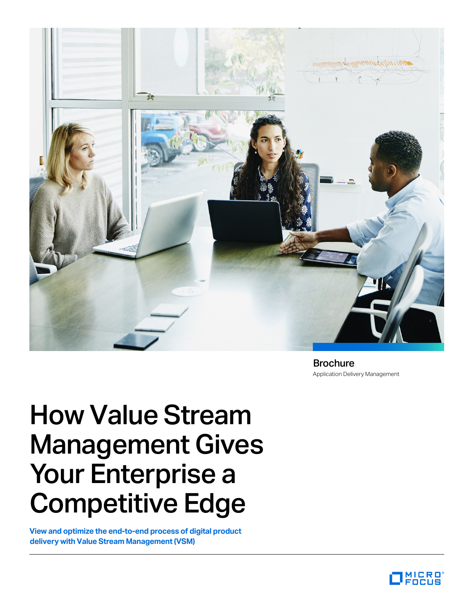

Application Delivery Management Brochure

# How Value Stream Management Gives Your Enterprise a Competitive Edge

**View and optimize the end-to-end process of digital product delivery with Value Stream Management (VSM)**

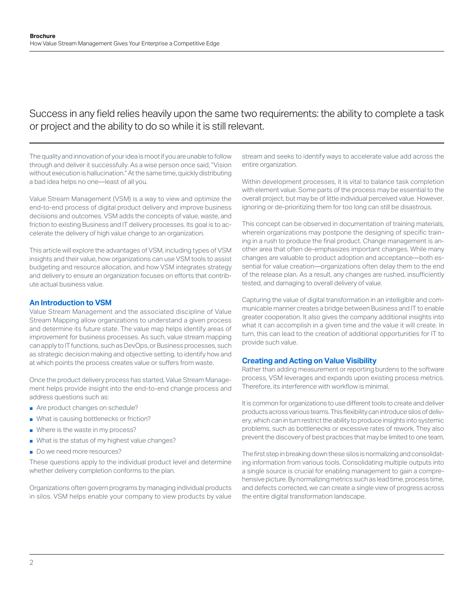# Success in any field relies heavily upon the same two requirements: the ability to complete a task or project and the ability to do so while it is still relevant.

The quality and innovation of your idea is moot if you are unable to follow through and deliver it successfully. As a wise person once said, "Vision without execution is hallucination." At the same time, quickly distributing a bad idea helps no one—least of all you.

Value Stream Management (VSM) is a way to view and optimize the end-to-end process of digital product delivery and improve business decisions and outcomes. VSM adds the concepts of value, waste, and friction to existing Business and IT delivery processes. Its goal is to accelerate the delivery of high value change to an organization.

This article will explore the advantages of VSM, including types of VSM insights and their value, how organizations can use VSM tools to assist budgeting and resource allocation, and how VSM integrates strategy and delivery to ensure an organization focuses on efforts that contribute actual business value.

# **An Introduction to VSM**

Value Stream Management and the associated discipline of Value Stream Mapping allow organizations to understand a given process and determine its future state. The value map helps identify areas of improvement for business processes. As such, value stream mapping can apply to IT functions, such as DevOps, or Business processes, such as strategic decision making and objective setting, to identify how and at which points the process creates value or suffers from waste.

Once the product delivery process has started, Value Stream Management helps provide insight into the end-to-end change process and address questions such as:

- Are product changes on schedule?
- What is causing bottlenecks or friction?
- Where is the waste in my process?
- What is the status of my highest value changes?
- Do we need more resources?

These questions apply to the individual product level and determine whether delivery completion conforms to the plan.

Organizations often govern programs by managing individual products in silos. VSM helps enable your company to view products by value stream and seeks to identify ways to accelerate value add across the entire organization.

Within development processes, it is vital to balance task completion with element value. Some parts of the process may be essential to the overall project, but may be of little individual perceived value. However, ignoring or de-prioritizing them for too long can still be disastrous.

This concept can be observed in documentation of training materials, wherein organizations may postpone the designing of specific training in a rush to produce the final product. Change management is another area that often de-emphasizes important changes. While many changes are valuable to product adoption and acceptance—both essential for value creation—organizations often delay them to the end of the release plan. As a result, any changes are rushed, insufficiently tested, and damaging to overall delivery of value.

Capturing the value of digital transformation in an intelligible and communicable manner creates a bridge between Business and IT to enable greater cooperation. It also gives the company additional insights into what it can accomplish in a given time and the value it will create. In turn, this can lead to the creation of additional opportunities for IT to provide such value.

# **Creating and Acting on Value Visibility**

Rather than adding measurement or reporting burdens to the software process, VSM leverages and expands upon existing process metrics. Therefore, its interference with workflow is minimal.

It is common for organizations to use different tools to create and deliver products across various teams. This flexibility can introduce silos of delivery, which can in turn restrict the ability to produce insights into systemic problems, such as bottlenecks or excessive rates of rework. They also prevent the discovery of best practices that may be limited to one team.

The first step in breaking down these silos is normalizing and consolidating information from various tools. Consolidating multiple outputs into a single source is crucial for enabling management to gain a comprehensive picture. By normalizing metrics such as lead time, process time, and defects corrected, we can create a single view of progress across the entire digital transformation landscape.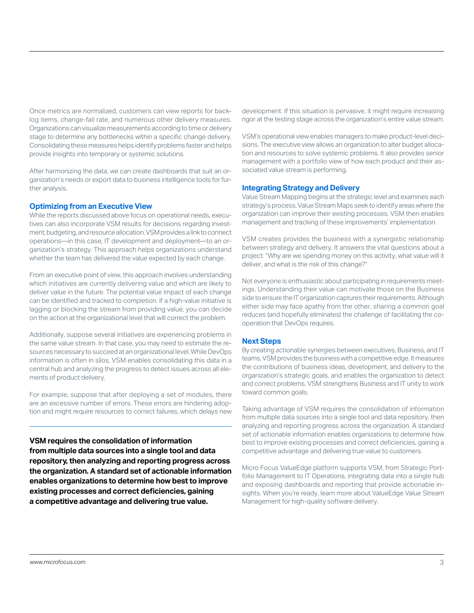Once metrics are normalized, customers can view reports for backlog items, change-fail rate, and numerous other delivery measures. Organizations can visualize measurements according to time or delivery stage to determine any bottlenecks within a specific change delivery. Consolidating these measures helps identify problems faster and helps provide insights into temporary or systemic solutions.

After harmonizing the data, we can create dashboards that suit an organization's needs or export data to business intelligence tools for further analysis.

### **Optimizing from an Executive View**

While the reports discussed above focus on operational needs, executives can also incorporate VSM results for decisions regarding investment, budgeting, and resource allocation. VSM provides a link to connect operations—in this case, IT development and deployment—to an organization's strategy. This approach helps organizations understand whether the team has delivered the value expected by each change.

From an executive point of view, this approach involves understanding which initiatives are currently delivering value and which are likely to deliver value in the future. The potential value impact of each change can be identified and tracked to completion. If a high-value initiative is lagging or blocking the stream from providing value, you can decide on the action at the organizational level that will correct the problem.

Additionally, suppose several initiatives are experiencing problems in the same value stream. In that case, you may need to estimate the resources necessary to succeed at an organizational level. While DevOps information is often in silos, VSM enables consolidating this data in a central hub and analyzing the progress to detect issues across all elements of product delivery.

For example, suppose that after deploying a set of modules, there are an excessive number of errors. These errors are hindering adoption and might require resources to correct failures, which delays new

**VSM requires the consolidation of information from multiple data sources into a single tool and data repository, then analyzing and reporting progress across the organization. A standard set of actionable information enables organizations to determine how best to improve existing processes and correct deficiencies, gaining a competitive advantage and delivering true value.**

development. If this situation is pervasive, it might require increasing rigor at the testing stage across the organization's entire value stream.

VSM's operational view enables managers to make product-level decisions. The executive view allows an organization to alter budget allocation and resources to solve systemic problems. It also provides senior management with a portfolio view of how each product and their associated value stream is performing.

### **Integrating Strategy and Delivery**

Value Stream Mapping begins at the strategic level and examines each strategy's process. Value Stream Maps seek to identify areas where the organization can improve their existing processes. VSM then enables management and tracking of these improvements' implementation.

VSM creates provides the business with a synergistic relationship between strategy and delivery. It answers the vital questions about a project: "Why are we spending money on this activity, what value will it deliver, and what is the risk of this change?"

Not everyone is enthusiastic about participating in requirements meetings. Understanding their value can motivate those on the Business side to ensure the IT organization captures their requirements. Although either side may face apathy from the other, sharing a common goal reduces (and hopefully eliminates) the challenge of facilitating the cooperation that DevOps requires.

### **Next Steps**

By creating actionable synergies between executives, Business, and IT teams, VSM provides the business with a competitive edge. It measures the contributions of business ideas, development, and delivery to the organization's strategic goals, and enables the organization to detect and correct problems. VSM strengthens Business and IT unity to work toward common goals.

Taking advantage of VSM requires the consolidation of information from multiple data sources into a single tool and data repository, then analyzing and reporting progress across the organization. A standard set of actionable information enables organizations to determine how best to improve existing processes and correct deficiencies, gaining a competitive advantage and delivering true value to customers.

Micro Focus ValueEdge platform supports VSM, from Strategic Portfolio Management to IT Operations, integrating data into a single hub and exposing dashboards and reporting that provide actionable insights. When you're ready, learn more about ValueEdge Value Stream Management for high-quality software delivery.